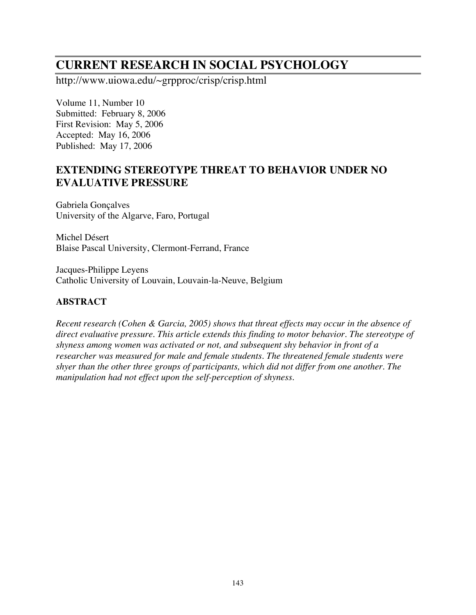# **CURRENT RESEARCH IN SOCIAL PSYCHOLOGY**

http://www.uiowa.edu/~grpproc/crisp/crisp.html

Volume 11, Number 10 Submitted: February 8, 2006 First Revision: May 5, 2006 Accepted: May 16, 2006 Published: May 17, 2006

## **EXTENDING STEREOTYPE THREAT TO BEHAVIOR UNDER NO EVALUATIVE PRESSURE**

Gabriela Gonçalves University of the Algarve, Faro, Portugal

Michel Désert Blaise Pascal University, Clermont-Ferrand, France

Jacques-Philippe Leyens Catholic University of Louvain, Louvain-la-Neuve, Belgium

## **ABSTRACT**

*Recent research (Cohen & Garcia, 2005) shows that threat effects may occur in the absence of direct evaluative pressure. This article extends this finding to motor behavior. The stereotype of shyness among women was activated or not, and subsequent shy behavior in front of a researcher was measured for male and female students. The threatened female students were shyer than the other three groups of participants, which did not differ from one another. The manipulation had not effect upon the self-perception of shyness.*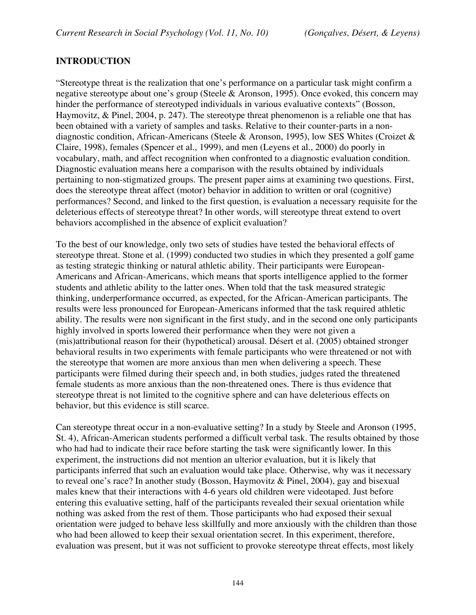## **INTRODUCTION**

"Stereotype threat is the realization that one's performance on a particular task might confirm a negative stereotype about one's group (Steele & Aronson, 1995). Once evoked, this concern may hinder the performance of stereotyped individuals in various evaluative contexts" (Bosson, Haymovitz, & Pinel, 2004, p. 247). The stereotype threat phenomenon is a reliable one that has been obtained with a variety of samples and tasks. Relative to their counter-parts in a nondiagnostic condition, African-Americans (Steele & Aronson, 1995), low SES Whites (Croizet & Claire, 1998), females (Spencer et al., 1999), and men (Leyens et al., 2000) do poorly in vocabulary, math, and affect recognition when confronted to a diagnostic evaluation condition. Diagnostic evaluation means here a comparison with the results obtained by individuals pertaining to non-stigmatized groups. The present paper aims at examining two questions. First, does the stereotype threat affect (motor) behavior in addition to written or oral (cognitive) performances? Second, and linked to the first question, is evaluation a necessary requisite for the deleterious effects of stereotype threat? In other words, will stereotype threat extend to overt behaviors accomplished in the absence of explicit evaluation?

To the best of our knowledge, only two sets of studies have tested the behavioral effects of stereotype threat. Stone et al. (1999) conducted two studies in which they presented a golf game as testing strategic thinking or natural athletic ability. Their participants were European-Americans and African-Americans, which means that sports intelligence applied to the former students and athletic ability to the latter ones. When told that the task measured strategic thinking, underperformance occurred, as expected, for the African-American participants. The results were less pronounced for European-Americans informed that the task required athletic ability. The results were non significant in the first study, and in the second one only participants highly involved in sports lowered their performance when they were not given a (mis)attributional reason for their (hypothetical) arousal. Désert et al. (2005) obtained stronger behavioral results in two experiments with female participants who were threatened or not with the stereotype that women are more anxious than men when delivering a speech. These participants were filmed during their speech and, in both studies, judges rated the threatened female students as more anxious than the non-threatened ones. There is thus evidence that stereotype threat is not limited to the cognitive sphere and can have deleterious effects on behavior, but this evidence is still scarce.

Can stereotype threat occur in a non-evaluative setting? In a study by Steele and Aronson (1995, St. 4), African-American students performed a difficult verbal task. The results obtained by those who had had to indicate their race before starting the task were significantly lower. In this experiment, the instructions did not mention an ulterior evaluation, but it is likely that participants inferred that such an evaluation would take place. Otherwise, why was it necessary to reveal one's race? In another study (Bosson, Haymovitz & Pinel, 2004), gay and bisexual males knew that their interactions with 4-6 years old children were videotaped. Just before entering this evaluative setting, half of the participants revealed their sexual orientation while nothing was asked from the rest of them. Those participants who had exposed their sexual orientation were judged to behave less skillfully and more anxiously with the children than those who had been allowed to keep their sexual orientation secret. In this experiment, therefore, evaluation was present, but it was not sufficient to provoke stereotype threat effects, most likely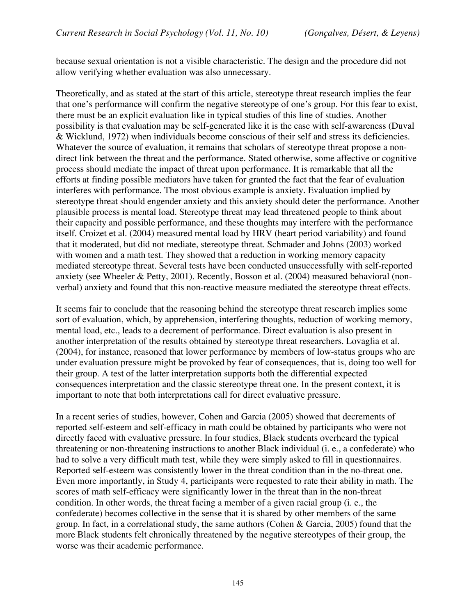because sexual orientation is not a visible characteristic. The design and the procedure did not allow verifying whether evaluation was also unnecessary.

Theoretically, and as stated at the start of this article, stereotype threat research implies the fear that one's performance will confirm the negative stereotype of one's group. For this fear to exist, there must be an explicit evaluation like in typical studies of this line of studies. Another possibility is that evaluation may be self-generated like it is the case with self-awareness (Duval & Wicklund, 1972) when individuals become conscious of their self and stress its deficiencies. Whatever the source of evaluation, it remains that scholars of stereotype threat propose a nondirect link between the threat and the performance. Stated otherwise, some affective or cognitive process should mediate the impact of threat upon performance. It is remarkable that all the efforts at finding possible mediators have taken for granted the fact that the fear of evaluation interferes with performance. The most obvious example is anxiety. Evaluation implied by stereotype threat should engender anxiety and this anxiety should deter the performance. Another plausible process is mental load. Stereotype threat may lead threatened people to think about their capacity and possible performance, and these thoughts may interfere with the performance itself. Croizet et al. (2004) measured mental load by HRV (heart period variability) and found that it moderated, but did not mediate, stereotype threat. Schmader and Johns (2003) worked with women and a math test. They showed that a reduction in working memory capacity mediated stereotype threat. Several tests have been conducted unsuccessfully with self-reported anxiety (see Wheeler & Petty, 2001). Recently, Bosson et al. (2004) measured behavioral (nonverbal) anxiety and found that this non-reactive measure mediated the stereotype threat effects.

It seems fair to conclude that the reasoning behind the stereotype threat research implies some sort of evaluation, which, by apprehension, interfering thoughts, reduction of working memory, mental load, etc., leads to a decrement of performance. Direct evaluation is also present in another interpretation of the results obtained by stereotype threat researchers. Lovaglia et al. (2004), for instance, reasoned that lower performance by members of low-status groups who are under evaluation pressure might be provoked by fear of consequences, that is, doing too well for their group. A test of the latter interpretation supports both the differential expected consequences interpretation and the classic stereotype threat one. In the present context, it is important to note that both interpretations call for direct evaluative pressure.

In a recent series of studies, however, Cohen and Garcia (2005) showed that decrements of reported self-esteem and self-efficacy in math could be obtained by participants who were not directly faced with evaluative pressure. In four studies, Black students overheard the typical threatening or non-threatening instructions to another Black individual (i. e., a confederate) who had to solve a very difficult math test, while they were simply asked to fill in questionnaires. Reported self-esteem was consistently lower in the threat condition than in the no-threat one. Even more importantly, in Study 4, participants were requested to rate their ability in math. The scores of math self-efficacy were significantly lower in the threat than in the non-threat condition. In other words, the threat facing a member of a given racial group (i. e., the confederate) becomes collective in the sense that it is shared by other members of the same group. In fact, in a correlational study, the same authors (Cohen & Garcia, 2005) found that the more Black students felt chronically threatened by the negative stereotypes of their group, the worse was their academic performance.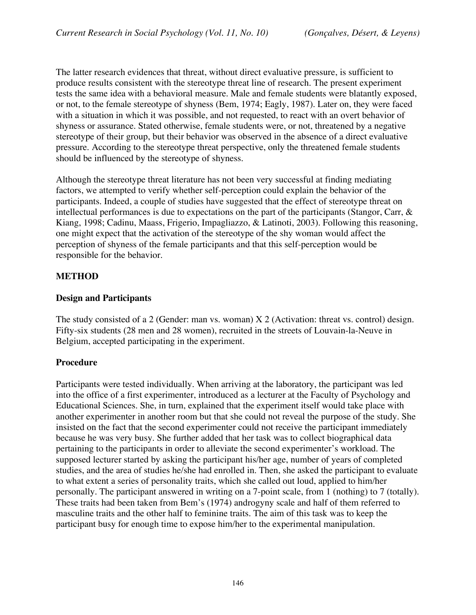The latter research evidences that threat, without direct evaluative pressure, is sufficient to produce results consistent with the stereotype threat line of research. The present experiment tests the same idea with a behavioral measure. Male and female students were blatantly exposed, or not, to the female stereotype of shyness (Bem, 1974; Eagly, 1987). Later on, they were faced with a situation in which it was possible, and not requested, to react with an overt behavior of shyness or assurance. Stated otherwise, female students were, or not, threatened by a negative stereotype of their group, but their behavior was observed in the absence of a direct evaluative pressure. According to the stereotype threat perspective, only the threatened female students should be influenced by the stereotype of shyness.

Although the stereotype threat literature has not been very successful at finding mediating factors, we attempted to verify whether self-perception could explain the behavior of the participants. Indeed, a couple of studies have suggested that the effect of stereotype threat on intellectual performances is due to expectations on the part of the participants (Stangor, Carr, & Kiang, 1998; Cadinu, Maass, Frigerio, Impagliazzo, & Latinoti, 2003). Following this reasoning, one might expect that the activation of the stereotype of the shy woman would affect the perception of shyness of the female participants and that this self-perception would be responsible for the behavior.

#### **METHOD**

#### **Design and Participants**

The study consisted of a 2 (Gender: man vs. woman) X 2 (Activation: threat vs. control) design. Fifty-six students (28 men and 28 women), recruited in the streets of Louvain-la-Neuve in Belgium, accepted participating in the experiment.

#### **Procedure**

Participants were tested individually. When arriving at the laboratory, the participant was led into the office of a first experimenter, introduced as a lecturer at the Faculty of Psychology and Educational Sciences. She, in turn, explained that the experiment itself would take place with another experimenter in another room but that she could not reveal the purpose of the study. She insisted on the fact that the second experimenter could not receive the participant immediately because he was very busy. She further added that her task was to collect biographical data pertaining to the participants in order to alleviate the second experimenter's workload. The supposed lecturer started by asking the participant his/her age, number of years of completed studies, and the area of studies he/she had enrolled in. Then, she asked the participant to evaluate to what extent a series of personality traits, which she called out loud, applied to him/her personally. The participant answered in writing on a 7-point scale, from 1 (nothing) to 7 (totally). These traits had been taken from Bem's (1974) androgyny scale and half of them referred to masculine traits and the other half to feminine traits. The aim of this task was to keep the participant busy for enough time to expose him/her to the experimental manipulation.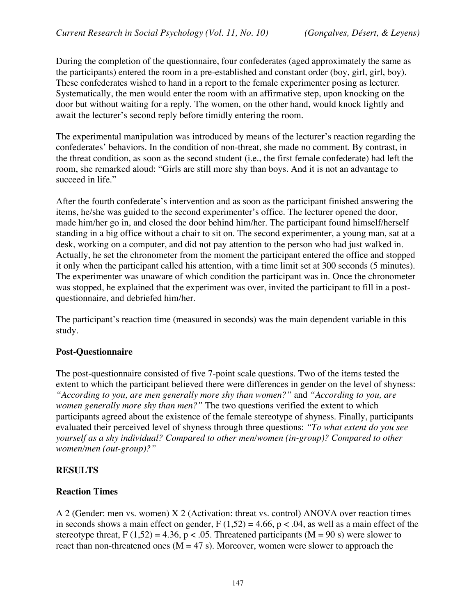During the completion of the questionnaire, four confederates (aged approximately the same as the participants) entered the room in a pre-established and constant order (boy, girl, girl, boy). These confederates wished to hand in a report to the female experimenter posing as lecturer. Systematically, the men would enter the room with an affirmative step, upon knocking on the door but without waiting for a reply. The women, on the other hand, would knock lightly and await the lecturer's second reply before timidly entering the room.

The experimental manipulation was introduced by means of the lecturer's reaction regarding the confederates' behaviors. In the condition of non-threat, she made no comment. By contrast, in the threat condition, as soon as the second student (i.e., the first female confederate) had left the room, she remarked aloud: "Girls are still more shy than boys. And it is not an advantage to succeed in life."

After the fourth confederate's intervention and as soon as the participant finished answering the items, he/she was guided to the second experimenter's office. The lecturer opened the door, made him/her go in, and closed the door behind him/her. The participant found himself/herself standing in a big office without a chair to sit on. The second experimenter, a young man, sat at a desk, working on a computer, and did not pay attention to the person who had just walked in. Actually, he set the chronometer from the moment the participant entered the office and stopped it only when the participant called his attention, with a time limit set at 300 seconds (5 minutes). The experimenter was unaware of which condition the participant was in. Once the chronometer was stopped, he explained that the experiment was over, invited the participant to fill in a postquestionnaire, and debriefed him/her.

The participant's reaction time (measured in seconds) was the main dependent variable in this study.

## **Post-Questionnaire**

The post-questionnaire consisted of five 7-point scale questions. Two of the items tested the extent to which the participant believed there were differences in gender on the level of shyness: *"According to you, are men generally more shy than women?"* and *"According to you, are women generally more shy than men?"* The two questions verified the extent to which participants agreed about the existence of the female stereotype of shyness. Finally, participants evaluated their perceived level of shyness through three questions: *"To what extent do you see yourself as a shy individual? Compared to other men/women (in-group)? Compared to other women/men (out-group)?"*

## **RESULTS**

#### **Reaction Times**

A 2 (Gender: men vs. women) X 2 (Activation: threat vs. control) ANOVA over reaction times in seconds shows a main effect on gender,  $F(1,52) = 4.66$ ,  $p < .04$ , as well as a main effect of the stereotype threat,  $F(1,52) = 4.36$ ,  $p < .05$ . Threatened participants (M = 90 s) were slower to react than non-threatened ones ( $M = 47$  s). Moreover, women were slower to approach the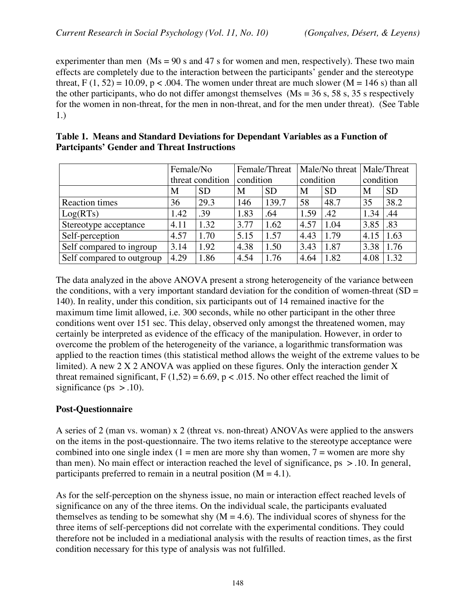experimenter than men  $(Ms = 90 s$  and 47 s for women and men, respectively). These two main effects are completely due to the interaction between the participants' gender and the stereotype threat,  $F(1, 52) = 10.09$ ,  $p < .004$ . The women under threat are much slower (M = 146 s) than all the other participants, who do not differ amongst themselves ( $Ms = 36$  s, 58 s, 35 s respectively for the women in non-threat, for the men in non-threat, and for the men under threat). (See Table 1.)

|                           | Female/No        |           | Female/Threat |           | Male/No threat   Male/Threat |           |           |           |
|---------------------------|------------------|-----------|---------------|-----------|------------------------------|-----------|-----------|-----------|
|                           | threat condition |           | condition     |           | condition                    |           | condition |           |
|                           | М                | <b>SD</b> | M             | <b>SD</b> | M                            | <b>SD</b> | M         | <b>SD</b> |
| <b>Reaction times</b>     | 36               | 29.3      | 146           | 139.7     | 58                           | 48.7      | 35        | 38.2      |
| Log(RTs)                  | 1.42             | .39       | 1.83          | .64       | 1.59                         | .42       | 1.34      | .44       |
| Stereotype acceptance     | 4.11             | 1.32      | 3.77          | 1.62      | 4.57                         | 1.04      | 3.85      | .83       |
| Self-perception           | 4.57             | 1.70      | 5.15          | 1.57      | 4.43                         | 1.79      | 4.15      | 1.63      |
| Self compared to ingroup  | 3.14             | 1.92      | 4.38          | 1.50      | 3.43                         | 1.87      | 3.38      | 1.76      |
| Self compared to outgroup | 4.29             | 1.86      | 4.54          | 1.76      | 4.64                         | 1.82      | 4.08      | 1.32      |

| Table 1. Means and Standard Deviations for Dependant Variables as a Function of |
|---------------------------------------------------------------------------------|
| <b>Partcipants' Gender and Threat Instructions</b>                              |

The data analyzed in the above ANOVA present a strong heterogeneity of the variance between the conditions, with a very important standard deviation for the condition of women-threat  $(SD =$ 140). In reality, under this condition, six participants out of 14 remained inactive for the maximum time limit allowed, i.e. 300 seconds, while no other participant in the other three conditions went over 151 sec. This delay, observed only amongst the threatened women, may certainly be interpreted as evidence of the efficacy of the manipulation. However, in order to overcome the problem of the heterogeneity of the variance, a logarithmic transformation was applied to the reaction times (this statistical method allows the weight of the extreme values to be limited). A new 2 X 2 ANOVA was applied on these figures. Only the interaction gender X threat remained significant,  $F(1,52) = 6.69$ ,  $p < .015$ . No other effect reached the limit of significance ( $ps > .10$ ).

## **Post-Questionnaire**

A series of 2 (man vs. woman) x 2 (threat vs. non-threat) ANOVAs were applied to the answers on the items in the post-questionnaire. The two items relative to the stereotype acceptance were combined into one single index  $(1 = \text{men are more}$  shy than women,  $7 = \text{women are more}$  shy than men). No main effect or interaction reached the level of significance,  $ps > 0.10$ . In general, participants preferred to remain in a neutral position  $(M = 4.1)$ .

As for the self-perception on the shyness issue, no main or interaction effect reached levels of significance on any of the three items. On the individual scale, the participants evaluated themselves as tending to be somewhat shy  $(M = 4.6)$ . The individual scores of shyness for the three items of self-perceptions did not correlate with the experimental conditions. They could therefore not be included in a mediational analysis with the results of reaction times, as the first condition necessary for this type of analysis was not fulfilled.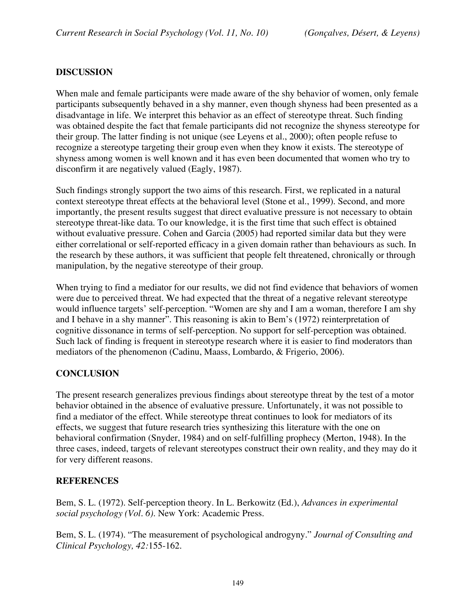## **DISCUSSION**

When male and female participants were made aware of the shy behavior of women, only female participants subsequently behaved in a shy manner, even though shyness had been presented as a disadvantage in life. We interpret this behavior as an effect of stereotype threat. Such finding was obtained despite the fact that female participants did not recognize the shyness stereotype for their group. The latter finding is not unique (see Leyens et al., 2000); often people refuse to recognize a stereotype targeting their group even when they know it exists. The stereotype of shyness among women is well known and it has even been documented that women who try to disconfirm it are negatively valued (Eagly, 1987).

Such findings strongly support the two aims of this research. First, we replicated in a natural context stereotype threat effects at the behavioral level (Stone et al., 1999). Second, and more importantly, the present results suggest that direct evaluative pressure is not necessary to obtain stereotype threat-like data. To our knowledge, it is the first time that such effect is obtained without evaluative pressure. Cohen and Garcia (2005) had reported similar data but they were either correlational or self-reported efficacy in a given domain rather than behaviours as such. In the research by these authors, it was sufficient that people felt threatened, chronically or through manipulation, by the negative stereotype of their group.

When trying to find a mediator for our results, we did not find evidence that behaviors of women were due to perceived threat. We had expected that the threat of a negative relevant stereotype would influence targets' self-perception. "Women are shy and I am a woman, therefore I am shy and I behave in a shy manner". This reasoning is akin to Bem's (1972) reinterpretation of cognitive dissonance in terms of self-perception. No support for self-perception was obtained. Such lack of finding is frequent in stereotype research where it is easier to find moderators than mediators of the phenomenon (Cadinu, Maass, Lombardo, & Frigerio, 2006).

## **CONCLUSION**

The present research generalizes previous findings about stereotype threat by the test of a motor behavior obtained in the absence of evaluative pressure. Unfortunately, it was not possible to find a mediator of the effect. While stereotype threat continues to look for mediators of its effects, we suggest that future research tries synthesizing this literature with the one on behavioral confirmation (Snyder, 1984) and on self-fulfilling prophecy (Merton, 1948). In the three cases, indeed, targets of relevant stereotypes construct their own reality, and they may do it for very different reasons.

## **REFERENCES**

Bem, S. L. (1972). Self-perception theory. In L. Berkowitz (Ed.), *Advances in experimental social psychology (Vol. 6)*. New York: Academic Press.

Bem, S. L. (1974). "The measurement of psychological androgyny." *Journal of Consulting and Clinical Psychology, 42:*155-162.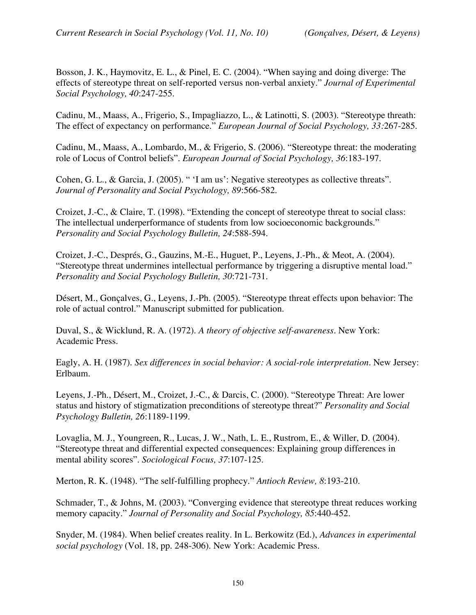Bosson, J. K., Haymovitz, E. L., & Pinel, E. C. (2004). "When saying and doing diverge: The effects of stereotype threat on self-reported versus non-verbal anxiety." *Journal of Experimental Social Psychology, 40*:247-255.

Cadinu, M., Maass, A., Frigerio, S., Impagliazzo, L., & Latinotti, S. (2003). "Stereotype threath: The effect of expectancy on performance." *European Journal of Social Psychology, 33:*267-285.

Cadinu, M., Maass, A., Lombardo, M., & Frigerio, S. (2006). "Stereotype threat: the moderating role of Locus of Control beliefs". *European Journal of Social Psychology, 36*:183-197.

Cohen, G. L., & Garcia, J. (2005). " 'I am us': Negative stereotypes as collective threats". *Journal of Personality and Social Psychology, 89*:566-582.

Croizet, J.-C., & Claire, T. (1998). "Extending the concept of stereotype threat to social class: The intellectual underperformance of students from low socioeconomic backgrounds." *Personality and Social Psychology Bulletin, 24*:588-594.

Croizet, J.-C., Després, G., Gauzins, M.-E., Huguet, P., Leyens, J.-Ph., & Meot, A. (2004). "Stereotype threat undermines intellectual performance by triggering a disruptive mental load." *Personality and Social Psychology Bulletin, 30*:721-731.

Désert, M., Gonçalves, G., Leyens, J.-Ph. (2005). "Stereotype threat effects upon behavior: The role of actual control." Manuscript submitted for publication.

Duval, S., & Wicklund, R. A. (1972). *A theory of objective self-awareness*. New York: Academic Press.

Eagly, A. H. (1987). *Sex differences in social behavior: A social-role interpretation*. New Jersey: Erlbaum.

Leyens, J.-Ph., Désert, M., Croizet, J.-C., & Darcis, C. (2000). "Stereotype Threat: Are lower status and history of stigmatization preconditions of stereotype threat?" *Personality and Social Psychology Bulletin, 26*:1189-1199.

Lovaglia, M. J., Youngreen, R., Lucas, J. W., Nath, L. E., Rustrom, E., & Willer, D. (2004). "Stereotype threat and differential expected consequences: Explaining group differences in mental ability scores". *Sociological Focus, 37*:107-125.

Merton, R. K. (1948). "The self-fulfilling prophecy." *Antioch Review, 8*:193-210.

Schmader, T., & Johns, M. (2003). "Converging evidence that stereotype threat reduces working memory capacity." *Journal of Personality and Social Psychology, 85*:440-452.

Snyder, M. (1984). When belief creates reality. In L. Berkowitz (Ed.), *Advances in experimental social psychology* (Vol. 18, pp. 248-306). New York: Academic Press.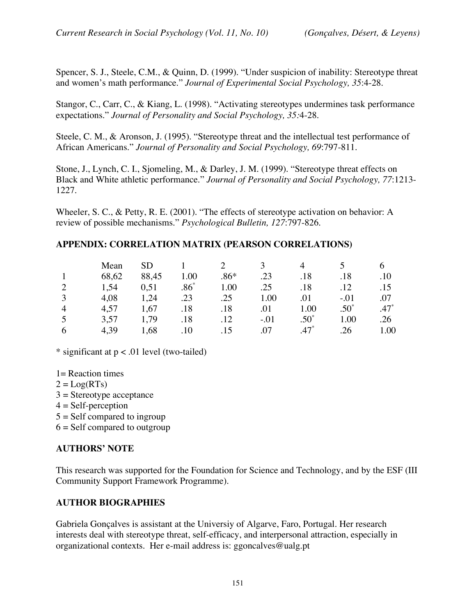Spencer, S. J., Steele, C.M., & Quinn, D. (1999). "Under suspicion of inability: Stereotype threat and women's math performance." *Journal of Experimental Social Psychology, 35*:4-28.

Stangor, C., Carr, C., & Kiang, L. (1998). "Activating stereotypes undermines task performance expectations." *Journal of Personality and Social Psychology, 35:*4-28.

Steele, C. M., & Aronson, J. (1995). "Stereotype threat and the intellectual test performance of African Americans." *Journal of Personality and Social Psychology, 69*:797-811.

Stone, J., Lynch, C. I., Sjomeling, M., & Darley, J. M. (1999). "Stereotype threat effects on Black and White athletic performance." *Journal of Personality and Social Psychology, 77*:1213- 1227.

Wheeler, S. C., & Petty, R. E. (2001). "The effects of stereotype activation on behavior: A review of possible mechanisms." *Psychological Bulletin, 127*:797-826.

## **APPENDIX: CORRELATION MATRIX (PEARSON CORRELATIONS)**

|          | Mean  |       |        |        |        |          |         |         |
|----------|-------|-------|--------|--------|--------|----------|---------|---------|
|          | 68,62 | 88,45 | 0.00   | $.86*$ | .23    | .18      | .18     | .10     |
|          | 1,54  | 0,51  | $.86*$ | 1.00   | .25    | .18      | 12      |         |
|          | 4,08  | 1,24  | .23    | .25    | 1.00   | .01      | $-.01$  | .07     |
| $\Delta$ | 4,57  | 1,67  | .18    | .18    | .01    | $1.00\,$ | $.50^*$ | $.47^*$ |
|          | 3,57  | 1,79  | .18    | .12    | $-.01$ | $.50^*$  | 1.00    | .26     |
|          | 4,39  | .68   | 10     | 15     | .07    |          | 26      | 0.00    |

\* significant at  $p < .01$  level (two-tailed)

1= Reaction times

- $2 = Log(RTs)$
- $3 =$ Stereotype acceptance
- $4 = Self-perception$

 $5 = Self$  compared to ingroup

 $6 =$  Self compared to outgroup

## **AUTHORS' NOTE**

This research was supported for the Foundation for Science and Technology, and by the ESF (III Community Support Framework Programme).

## **AUTHOR BIOGRAPHIES**

Gabriela Gonçalves is assistant at the Universiy of Algarve, Faro, Portugal. Her research interests deal with stereotype threat, self-efficacy, and interpersonal attraction, especially in organizational contexts. Her e-mail address is: ggoncalves@ualg.pt